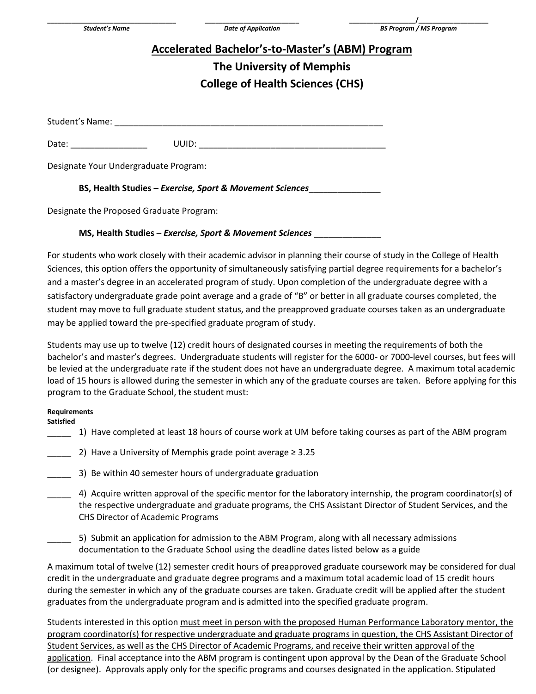# **Accelerated Bachelor's-to-Master's (ABM) Program**

## **The University of Memphis College of Health Sciences (CHS)**

Student's Name:

Date: \_\_\_\_\_\_\_\_\_\_\_\_\_\_\_\_ UUID: \_\_\_\_\_\_\_\_\_\_\_\_\_\_\_\_\_\_\_\_\_\_\_\_\_\_\_\_\_\_\_\_\_\_\_\_\_\_\_

Designate Your Undergraduate Program:

**BS, Health Studies –** *Exercise, Sport & Movement Sciences*\_\_\_\_\_\_\_\_\_\_\_\_\_\_\_

Designate the Proposed Graduate Program:

### **MS, Health Studies –** *Exercise, Sport & Movement Sciences* \_\_\_\_\_\_\_\_\_\_\_\_\_\_

For students who work closely with their academic advisor in planning their course of study in the College of Health Sciences, this option offers the opportunity of simultaneously satisfying partial degree requirements for a bachelor's and a master's degree in an accelerated program of study. Upon completion of the undergraduate degree with a satisfactory undergraduate grade point average and a grade of "B" or better in all graduate courses completed, the student may move to full graduate student status, and the preapproved graduate courses taken as an undergraduate may be applied toward the pre-specified graduate program of study.

Students may use up to twelve (12) credit hours of designated courses in meeting the requirements of both the bachelor's and master's degrees. Undergraduate students will register for the 6000- or 7000-level courses, but fees will be levied at the undergraduate rate if the student does not have an undergraduate degree. A maximum total academic load of 15 hours is allowed during the semester in which any of the graduate courses are taken. Before applying for this program to the Graduate School, the student must:

#### **Requirements**

**Satisfied**

- \_\_\_\_\_ 1) Have completed at least 18 hours of course work at UM before taking courses as part of the ABM program
- 2) Have a University of Memphis grade point average  $\geq 3.25$
- \_\_\_\_\_ 3) Be within 40 semester hours of undergraduate graduation
- \_\_\_\_\_ 4) Acquire written approval of the specific mentor for the laboratory internship, the program coordinator(s) of the respective undergraduate and graduate programs, the CHS Assistant Director of Student Services, and the CHS Director of Academic Programs
- 5) Submit an application for admission to the ABM Program, along with all necessary admissions documentation to the Graduate School using the deadline dates listed below as a guide

A maximum total of twelve (12) semester credit hours of preapproved graduate coursework may be considered for dual credit in the undergraduate and graduate degree programs and a maximum total academic load of 15 credit hours during the semester in which any of the graduate courses are taken. Graduate credit will be applied after the student graduates from the undergraduate program and is admitted into the specified graduate program.

Students interested in this option must meet in person with the proposed Human Performance Laboratory mentor, the program coordinator(s) for respective undergraduate and graduate programs in question, the CHS Assistant Director of Student Services, as well as the CHS Director of Academic Programs, and receive their written approval of the application. Final acceptance into the ABM program is contingent upon approval by the Dean of the Graduate School (or designee). Approvals apply only for the specific programs and courses designated in the application. Stipulated